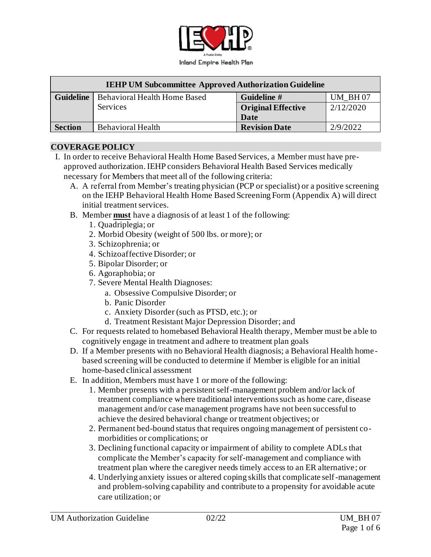

| <b>IEHP UM Subcommittee Approved Authorization Guideline</b> |                                     |                           |           |  |  |
|--------------------------------------------------------------|-------------------------------------|---------------------------|-----------|--|--|
| <b>Guideline</b>                                             | <b>Behavioral Health Home Based</b> | Guideline #               | UM BH07   |  |  |
|                                                              | <b>Services</b>                     | <b>Original Effective</b> | 2/12/2020 |  |  |
|                                                              |                                     | <b>Date</b>               |           |  |  |
| <b>Section</b>                                               | <b>Behavioral Health</b>            | <b>Revision Date</b>      | 2/9/2022  |  |  |

#### **COVERAGE POLICY**

- I. In order to receive Behavioral Health Home Based Services, a Member must have preapproved authorization. IEHP considers Behavioral Health Based Services medically necessary for Members that meet all of the following criteria:
	- A. A referral from Member's treating physician (PCP or specialist) or a positive screening on the IEHP Behavioral Health Home Based Screening Form (Appendix A) will direct initial treatment services.
	- B. Member **must** have a diagnosis of at least 1 of the following:
		- 1. Quadriplegia; or
		- 2. Morbid Obesity (weight of 500 lbs. or more); or
		- 3. Schizophrenia; or
		- 4. Schizoaffective Disorder; or
		- 5. Bipolar Disorder; or
		- 6. Agoraphobia; or
		- 7. Severe Mental Health Diagnoses:
			- a. Obsessive Compulsive Disorder; or
			- b. Panic Disorder
			- c. Anxiety Disorder (such as PTSD, etc.); or
			- d. Treatment Resistant Major Depression Disorder; and
	- C. For requests related to homebased Behavioral Health therapy, Member must be able to cognitively engage in treatment and adhere to treatment plan goals
	- D. If a Member presents with no Behavioral Health diagnosis; a Behavioral Health homebased screening will be conducted to determine if Member is eligible for an initial home-based clinical assessment
	- E. In addition, Members must have 1 or more of the following:
		- 1. Member presents with a persistent self-management problem and/or lack of treatment compliance where traditional interventions such as home care, disease management and/or case management programs have not been successful to achieve the desired behavioral change or treatment objectives; or
		- 2. Permanent bed-bound status that requires ongoing management of persistent comorbidities or complications; or
		- 3. Declining functional capacity or impairment of ability to complete ADLs that complicate the Member's capacity for self-management and compliance with treatment plan where the caregiver needs timely access to an ER alternative; or
		- 4. Underlying anxiety issues or altered coping skills that complicate self-management and problem-solving capability and contribute to a propensity for avoidable acute care utilization; or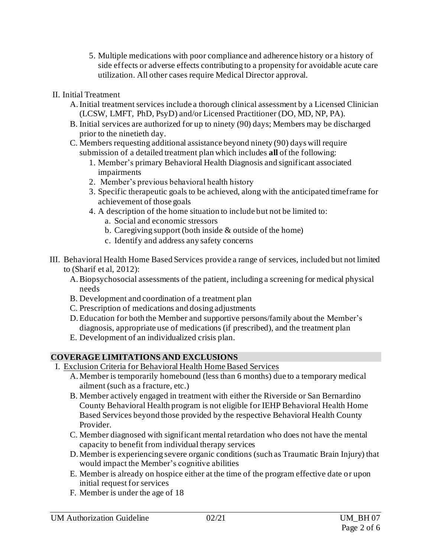- 5. Multiple medications with poor compliance and adherence history or a history of side effects or adverse effects contributing to a propensity for avoidable acute care utilization. All other cases require Medical Director approval.
- II. Initial Treatment
	- A.Initial treatment services include a thorough clinical assessment by a Licensed Clinician (LCSW, LMFT, PhD, PsyD) and/or Licensed Practitioner (DO, MD, NP, PA).
	- B. Initial services are authorized for up to ninety (90) days; Members may be discharged prior to the ninetieth day.
	- C. Members requesting additional assistance beyond ninety (90) days will require submission of a detailed treatment plan which includes **all** of the following:
		- 1. Member's primary Behavioral Health Diagnosis and significant associated impairments
		- 2. Member's previous behavioral health history
		- 3. Specific therapeutic goals to be achieved, along with the anticipated timeframe for achievement of those goals
		- 4. A description of the home situation to include but not be limited to:
			- a. Social and economic stressors
			- b. Caregiving support (both inside & outside of the home)
			- c. Identify and address any safety concerns
- III. Behavioral Health Home Based Services provide a range of services, included but not limited to (Sharif et al, 2012):
	- A.Biopsychosocial assessments of the patient, including a screening for medical physical needs
	- B. Development and coordination of a treatment plan
	- C. Prescription of medications and dosing adjustments
	- D.Education for both the Member and supportive persons/family about the Member's diagnosis, appropriate use of medications (if prescribed), and the treatment plan
	- E. Development of an individualized crisis plan.

## **COVERAGE LIMITATIONS AND EXCLUSIONS**

- I. Exclusion Criteria for Behavioral Health Home Based Services
	- A. Member is temporarily homebound (less than 6 months) due to a temporary medical ailment (such as a fracture, etc.)
	- B. Member actively engaged in treatment with either the Riverside or San Bernardino County Behavioral Health program is not eligible for IEHP Behavioral Health Home Based Services beyond those provided by the respective Behavioral Health County Provider.
	- C. Member diagnosed with significant mental retardation who does not have the mental capacity to benefit from individual therapy services
	- D. Member is experiencing severe organic conditions (such as Traumatic Brain Injury) that would impact the Member's cognitive abilities
	- E. Member is already on hospice either at the time of the program effective date or upon initial request for services
	- F. Member is under the age of 18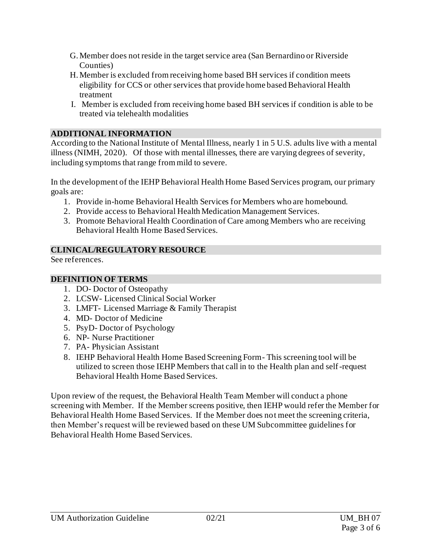- G. Member does not reside in the target service area (San Bernardino or Riverside Counties)
- H. Member is excluded from receiving home based BH services if condition meets eligibility for CCS or other services that provide home based Behavioral Health treatment
- I. Member is excluded from receiving home based BH services if condition is able to be treated via telehealth modalities

## **ADDITIONAL INFORMATION**

According to the National Institute of Mental Illness, nearly 1 in 5 U.S. adults live with a mental illness (NIMH, 2020). Of those with mental illnesses, there are varying degrees of severity, including symptoms that range from mild to severe.

In the development of the IEHP Behavioral Health Home Based Services program, our primary goals are:

- 1. Provide in-home Behavioral Health Services for Members who are homebound.
- 2. Provide access to Behavioral Health Medication Management Services.
- 3. Promote Behavioral Health Coordination of Care among Members who are receiving Behavioral Health Home Based Services.

#### **CLINICAL/REGULATORY RESOURCE**

See references.

### **DEFINITION OF TERMS**

- 1. DO- Doctor of Osteopathy
- 2. LCSW- Licensed Clinical Social Worker
- 3. LMFT- Licensed Marriage & Family Therapist
- 4. MD- Doctor of Medicine
- 5. PsyD- Doctor of Psychology
- 6. NP- Nurse Practitioner
- 7. PA- Physician Assistant
- 8. IEHP Behavioral Health Home Based Screening Form- This screening tool will be utilized to screen those IEHP Members that call in to the Health plan and self-request Behavioral Health Home Based Services.

Upon review of the request, the Behavioral Health Team Member will conduct a phone screening with Member. If the Member screens positive, then IEHP would refer the Member for Behavioral Health Home Based Services. If the Member does not meet the screening criteria, then Member's request will be reviewed based on these UM Subcommittee guidelines for Behavioral Health Home Based Services.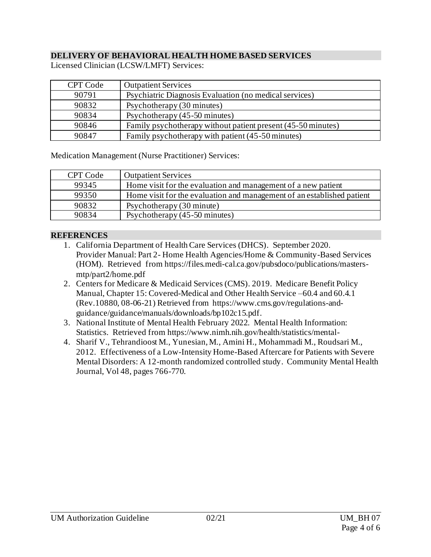### **DELIVERY OF BEHAVIORAL HEALTH HOME BASED SERVICES**

| CPT Code | <b>Outpatient Services</b>                                   |
|----------|--------------------------------------------------------------|
| 90791    | Psychiatric Diagnosis Evaluation (no medical services)       |
| 90832    | Psychotherapy (30 minutes)                                   |
| 90834    | Psychotherapy (45-50 minutes)                                |
| 90846    | Family psychotherapy without patient present (45-50 minutes) |
| 90847    | Family psychotherapy with patient (45-50 minutes)            |

Licensed Clinician (LCSW/LMFT) Services:

Medication Management (Nurse Practitioner) Services:

| CPT Code | <b>Outpatient Services</b>                                             |
|----------|------------------------------------------------------------------------|
| 99345    | Home visit for the evaluation and management of a new patient          |
| 99350    | Home visit for the evaluation and management of an established patient |
| 90832    | Psychotherapy (30 minute)                                              |
| 90834    | Psychotherapy (45-50 minutes)                                          |

#### **REFERENCES**

- 1. California Department of Health Care Services (DHCS). September 2020. Provider Manual: Part 2- Home Health Agencies/Home & Community-Based Services (HOM). Retrieved fro[m https://files.medi-cal.ca.gov/pubsdoco/publications/masters](https://files.medi-cal.ca.gov/pubsdoco/publications/masters-mtp/part2/home.pdf)[mtp/part2/home.pdf](https://files.medi-cal.ca.gov/pubsdoco/publications/masters-mtp/part2/home.pdf)
- 2. Centers for Medicare & Medicaid Services (CMS). 2019. Medicare Benefit Policy Manual, Chapter 15: Covered-Medical and Other Health Service –60.4 and 60.4.1 (Rev.10880, 08-06-21) Retrieved from https://www.cms.gov/regulations-andguidance/guidance/manuals/downloads/bp102c15.pdf.
- 3. National Institute of Mental Health February 2022. Mental Health Information: Statistics. Retrieved fro[m https://www.nimh.nih.gov/health/statistics/mental-](https://www.nimh.nih.gov/health/statistics/mental-)
- 4. Sharif V., Tehrandioost M., Yunesian, M., Amini H., Mohammadi M., Roudsari M., 2012. Effectiveness of a Low-Intensity Home-Based Aftercare for Patients with Severe Mental Disorders: A 12-month randomized controlled study. Community Mental Health Journal, Vol 48, pages 766-770.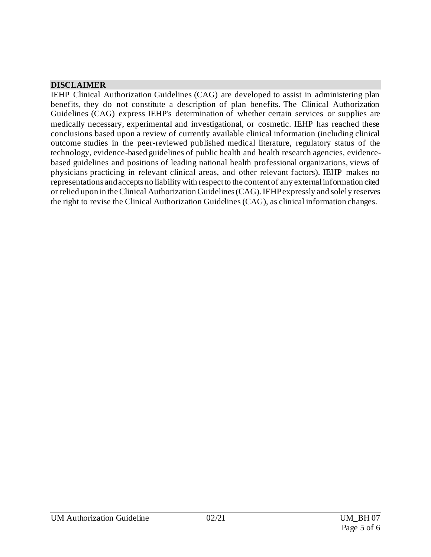#### **DISCLAIMER**

IEHP Clinical Authorization Guidelines (CAG) are developed to assist in administering plan benefits, they do not constitute a description of plan benefits. The Clinical Authorization Guidelines (CAG) express IEHP's determination of whether certain services or supplies are medically necessary, experimental and investigational, or cosmetic. IEHP has reached these conclusions based upon a review of currently available clinical information (including clinical outcome studies in the peer-reviewed published medical literature, regulatory status of the technology, evidence-based guidelines of public health and health research agencies, evidencebased guidelines and positions of leading national health professional organizations, views of physicians practicing in relevant clinical areas, and other relevant factors). IEHP makes no representations and accepts no liability with respect to the content of any external information cited or relied upon in the Clinical Authorization Guidelines (CAG). IEHP expressly and solely reserves the right to revise the Clinical Authorization Guidelines (CAG), as clinical information changes.